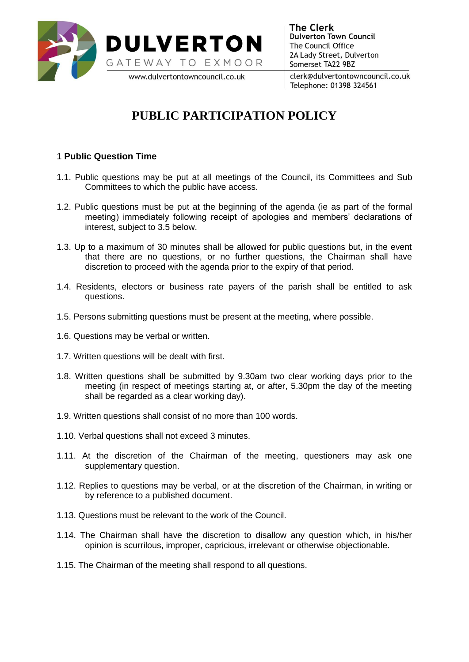

**The Clerk Dulverton Town Council** The Council Office 2A Lady Street, Dulverton Somerset TA22 9BZ

clerk@dulvertontowncouncil.co.uk Telephone: 01398 324561

## **PUBLIC PARTICIPATION POLICY**

## 1 **Public Question Time**

- 1.1. Public questions may be put at all meetings of the Council, its Committees and Sub Committees to which the public have access.
- 1.2. Public questions must be put at the beginning of the agenda (ie as part of the formal meeting) immediately following receipt of apologies and members' declarations of interest, subject to 3.5 below.
- 1.3. Up to a maximum of 30 minutes shall be allowed for public questions but, in the event that there are no questions, or no further questions, the Chairman shall have discretion to proceed with the agenda prior to the expiry of that period.
- 1.4. Residents, electors or business rate payers of the parish shall be entitled to ask questions.
- 1.5. Persons submitting questions must be present at the meeting, where possible.
- 1.6. Questions may be verbal or written.
- 1.7. Written questions will be dealt with first.
- 1.8. Written questions shall be submitted by 9.30am two clear working days prior to the meeting (in respect of meetings starting at, or after, 5.30pm the day of the meeting shall be regarded as a clear working day).
- 1.9. Written questions shall consist of no more than 100 words.
- 1.10. Verbal questions shall not exceed 3 minutes.
- 1.11. At the discretion of the Chairman of the meeting, questioners may ask one supplementary question.
- 1.12. Replies to questions may be verbal, or at the discretion of the Chairman, in writing or by reference to a published document.
- 1.13. Questions must be relevant to the work of the Council.
- 1.14. The Chairman shall have the discretion to disallow any question which, in his/her opinion is scurrilous, improper, capricious, irrelevant or otherwise objectionable.
- 1.15. The Chairman of the meeting shall respond to all questions.